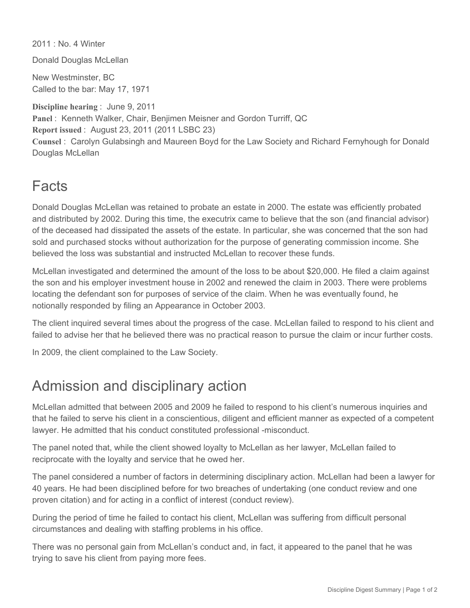2011 : No. 4 Winter

Donald Douglas McLellan

New Westminster, BC Called to the bar: May 17, 1971

**Discipline hearing** : June 9, 2011 **Panel** : Kenneth Walker, Chair, Benjimen Meisner and Gordon Turriff, QC **Report issued** : August 23, 2011 (2011 LSBC 23) **Counsel** : Carolyn Gulabsingh and Maureen Boyd for the Law Society and Richard Fernyhough for Donald Douglas McLellan

## Facts

Donald Douglas McLellan was retained to probate an estate in 2000. The estate was efficiently probated and distributed by 2002. During this time, the executrix came to believe that the son (and financial advisor) of the deceased had dissipated the assets of the estate. In particular, she was concerned that the son had sold and purchased stocks without authorization for the purpose of generating commission income. She believed the loss was substantial and instructed McLellan to recover these funds.

McLellan investigated and determined the amount of the loss to be about \$20,000. He filed a claim against the son and his employer investment house in 2002 and renewed the claim in 2003. There were problems locating the defendant son for purposes of service of the claim. When he was eventually found, he notionally responded by filing an Appearance in October 2003.

The client inquired several times about the progress of the case. McLellan failed to respond to his client and failed to advise her that he believed there was no practical reason to pursue the claim or incur further costs.

In 2009, the client complained to the Law Society.

## Admission and disciplinary action

McLellan admitted that between 2005 and 2009 he failed to respond to his client's numerous inquiries and that he failed to serve his client in a conscientious, diligent and efficient manner as expected of a competent lawyer. He admitted that his conduct constituted professional -misconduct.

The panel noted that, while the client showed loyalty to McLellan as her lawyer, McLellan failed to reciprocate with the loyalty and service that he owed her.

The panel considered a number of factors in determining disciplinary action. McLellan had been a lawyer for 40 years. He had been disciplined before for two breaches of undertaking (one conduct review and one proven citation) and for acting in a conflict of interest (conduct review).

During the period of time he failed to contact his client, McLellan was suffering from difficult personal circumstances and dealing with staffing problems in his office.

There was no personal gain from McLellan's conduct and, in fact, it appeared to the panel that he was trying to save his client from paying more fees.